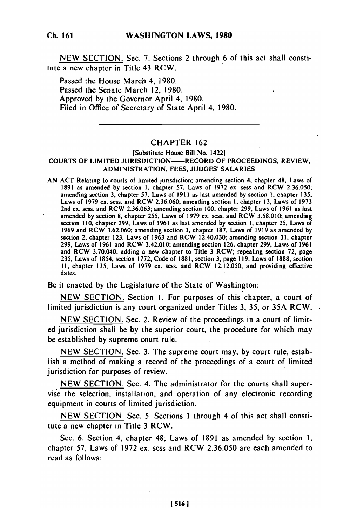NEW SECTION. Sec. 7. Sections 2 through 6 of this act shall constitute a new chapter in Title 43 RCW.

Passed the House March 4, 1980. Passed the Senate March 12, 1980. Approved by the Governor April 4, 1980. Filed in Office of Secretary of State April 4, 1980.

## CHAPTER 162

## [Substitute House Bill No. 1422] COURTS OF LIMITED JURISDICTION——RECORD OF PROCEEDINGS, REVIEW, ADMINISTRATION, FEES, JUDGES' SALARIES

AN ACT Relating to courts of limited jurisdiction; amending section 4, chapter 48, Laws of 1891 as amended by section 1, chapter 57, Laws of 1972 ex. sess and RCW 2.36.050; amending section 3, chapter 57, Laws of 1911 as last amended by section 1, chapter 135, Laws of 1979 ex. sess. and RCW 2.36.060; amending section **1,** chapter 13, Laws of 1973 2nd ex. sess. and RCW 2.36.063; amending section 100, chapter 299, Laws of 1961 as last amended by section **8,** chapter 255, Laws of 1979 ex. sess. and RCW 3.58.010; amending section 110, chapter 299, Laws of 1961 as last amended by section I, chapter 25, Laws of 1969 and RCW 3.62.060; amending section 3, chapter 187, Laws of 1919 as amended by section 2, chapter 123, Laws of 1963 and RCW 12.40.030; amending section 31, chapter 299, Laws of 1961 and RCW 3.42.010; amending section 126, chapter 299, Laws of 1961 and RCW 3.70.040; adding a new chapter to Title 3 RCW; repealing section 72, page 235, Laws of 1854, section **1772,** Code of **1881,** section **3,** page 119, Laws of **1888,** section II, chapter 135, Laws of 1979 ex. sess. and RCW 12.12.050; and providing effective dates.

Be it enacted by the Legislature of the State of Washington:

NEW SECTION. Section i. For purposes of this chapter, a court of limited jurisdiction is any court organized under Titles 3, 35, or 35A RCW.

NEW SECTION. Sec. 2. Review of the proceedings in a court of limited jurisdiction shall be by the superior court, the procedure for which may be established by supreme court rule.

NEW SECTION. Sec. 3. The supreme court may, by court rule, establish a method of making a record of the proceedings of a court of limited jurisdiction for purposes of review.

NEW SECTION. Sec. 4. The administrator for the courts shall supervise the selection, installation, and operation of any electronic recording equipment in courts of limited jurisdiction.

NEW SECTION. Sec. 5. Sections **I** through 4 of this act shall constitute a new chapter in Title 3 RCW.

Sec. 6. Section 4, chapter 48, Laws of 1891 as amended by section **1,** chapter 57, Laws of 1972 ex. sess and RCW 2.36.050 are each amended to read as follows:

**[5161**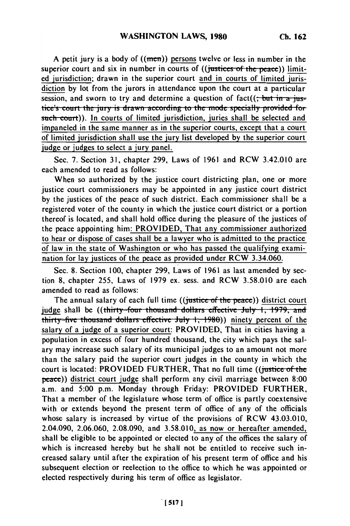A petit jury is a body of  $((men))$  persons twelve or less in number in the superior court and six in number in courts of ((justices of the peace)) limited jurisdiction; drawn in the superior court and in courts of limited jurisdiction by lot from the jurors in attendance upon the court at a particular  $\frac{1}{2}$   $\frac{1}{2}$   $\frac{1}{2}$   $\frac{1}{2}$  of figure in a  $\frac{1}{2}$  per *court time* is  $\frac{1}{2}$   $\frac{1}{2}$  per *court* time  $\frac{1}{2}$  is  $\frac{1}{2}$  is  $\frac{1}{2}$  is  $\frac{1}{2}$  is  $\frac{1}{2}$  is  $\frac{1}{2}$  is  $\frac{1}{2}$  is  $\frac{1}{2}$ tice's court the jury is drawn according to the mode specially provided for such court)). In courts of limited jurisdiction, juries shall be selected and impaneled in the same manner as in the superior courts, except that a court of limited jurisdiction shall use the jury list developed **by** the superior court judge or judges to select a **jury** panel.

Sec. **7.** Section **31,** chapter **299,** Laws of **1961** and RCW 3.42.010 are each amended to read as follows:

When so authorized **by** the justice court districting plan, one or more justice court commissioners may be appointed in any justice court district **by** the justices of the peace of such district. Each commissioner shall be a registered voter of the county in which the justice court district or a portion thereof is located, and shall hold office during the pleasure of the justices of the peace appointing him: PROVIDED, That any commissioner authorized to hear or dispose of cases shall be a lawyer who is admitted to the practice of law in the state of Washington or who has passed the qualifying examination for lay justices of the peace as provided under RCW 3.34.060.

See. **8.** Section **100,** chapter **299,** Laws of **1961** as last amended **by** section **8,** chapter 255, Laws of **1979** ex. sess. and RCW **3.58.010** are each amended to read as follows:

The annual salary of each full time ((justice of the peace)) district court judge shall be ((thirty-four thousand dollars effective July 1, 1979, and thirty-five thousand dollars effective July 1, 1980)) ninety percent of the salary of a judge of a superior court: PROVIDED, That in cities having a population in excess of four hundred thousand, the city which pays the salary may increase such salary of its municipal judges to an amount not more than the salary paid the superior court judges in the county in which the court is located: PROVIDED FURTHER, That no full time ((justice of the peace)) district court judge shall perform any civil marriage between 8:00 a.m. and 5:00 p.m. Monday through Friday: PROVIDED FURTHER, That a member of the legislature whose term of office is partly coextensive with or extends beyond the present term of office of any of the officials whose salary is increased by virtue of the provisions of RCW 43.03.010, 2.04.090, 2.06.060, 2.08.090, and 3.58.010, as now or hereafter amended, shall be eligible to be appointed or elected to any of the offices the salary of which is increased hereby but he shall not be entitled to receive such increased salary until after the expiration of his present term of office and his subsequent election or reelection to the office to which he was appointed or elected respectively during his term of office as legislator.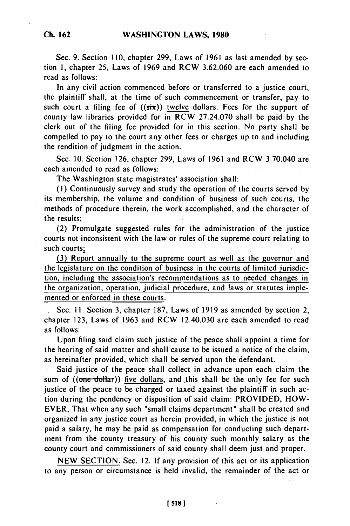Sec. 9. Section **110,** chapter 299, Laws of 1961 as last amended **by** section **1,** chapter **25,** Laws of **1969** and RCW **3.62.060** are each amended to read as follows:

In any civil action commenced before or transferred to a justice court, the plaintiff shall, at the time of such commencement or transfer, pay to such court a filing fee of ((six)) **twelve** dollars. Fees for the support of county law libraries provided for in RCW **27.24.070** shall be paid **by** the clerk out of the filing fee provided for in this section. No party shall be compelled to pay to the court any other fees or charges up to and including the rendition of judgment in the action.

Sec. **10.** Section **126,** chapter **299,** Laws of **1961** and RCW 3.70.040 are each amended to read as follows:

The Washington state magistrates' association shall:

**(1)** Continuously survey and study the operation of the courts served **by** its membership, the volume and condition of business of such courts, the methods of procedure therein, the work accomplished, and the character of the results;

(2) Promulgate suggested rules for the administration of the justice courts not inconsistent with the law or rules of the supreme court relating to such courts;

**(3)** Report annually to the supreme court as well as the governor and the legislature on the condition of business in the courts of limited jurisdiction, including the association's recommendations as to needed changes in the organization, operation, judicial procedure, and laws or statutes implemented or enforced in these courts.

Sec. **1I.** Section **3,** chapter **187,** Laws of **1919** as amended **by** section 2, chapter **123,** Laws of **1963** and RCW 12.40.030 are each amended to read as follows:

Upon filing said claim such justice of the peace shall appoint a time for the hearing of said matter and shall cause to be issued a notice of the claim, as hereinafter provided, which shall be served upon the defendant.

**.** Said justice of the peace shall collect in advance upon each claim the sum of ((one dollar)) five dollars, and this shall be the only fee for such justice of the peace to be charged or taxed against the plaintiff in such action during the pendency or disposition of said claim: PROVIDED, HOW-EVER, That when any such "small claims department" shall be created and organized in any justice court as herein provided, in which the justice is not paid a salary, he may **be** paid as compensation for conducting such department from the county treasury of his county such monthly salary as the county court and commissioners of said county shall deem just and proper.

**NEW SECTION.** Sec. 12. **If** any provision of this act or its application to any person or circumstance is held ihvalid, the remainder of the act or

**[518 1**